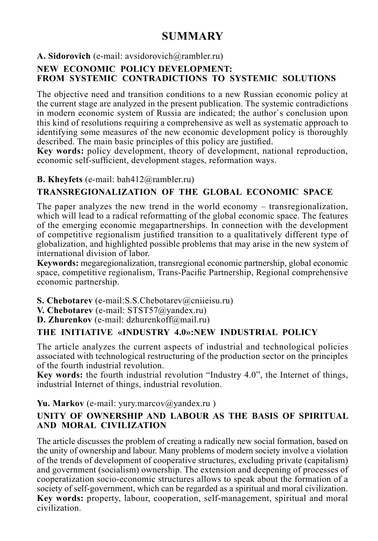# **SUMMARY**

A. Sidorovich (e-mail: avsidorovich@rambler.ru)

# **NEW ECONOMIC POLICY DEVELOPMENT: FROM SYSTEMIC CONTRADICTIONS TO SYSTEMIC SOLUTIONS**

Тhe objective need and transition conditions to a new Russian economic policy at the current stage are analyzed in the present publication. The systemic contradictions in modern economic system of Russia are indicated; the author`s conclusion upon this kind of resolutions requiring a comprehensive as well as systematic approach to identifying some measures of the new economic development policy is thoroughly described. The main basic principles of this policy are justified.

**Key words:** policy development, theory of development, national reproduction, economic self-sufficient, development stages, reformation ways.

## **B. Kheyfets** (e-mail: bah412@rambler.ru)

# **TRANSREGIONALIZATION OF THE GLOBAL ECONOMIC SPACE**

The paper analyzes the new trend in the world economy – transregionalization, which will lead to a radical reformatting of the global economic space. The features of the emerging economic megapartnerships. In connection with the development of competitive regionalism justified transition to a qualitatively different type of globalization, and highlighted possible problems that may arise in the new system of international division of labor.

**Keywords:** megaregionalization, transregional economic partnership, global economic space, competitive regionalism, Trans-Pacific Partnership, Regional comprehensive economic partnership.

- **S. Chebotarev** (e-mail: S.S. Chebotarev @cniieisu.ru)
- **V. Chebotarev** (e-mail: STST57@yandex.ru)
- **D. Zhurenkov** (e-mail: dzhurenkoff@mail.ru)

#### **THE INITIATIVE «INDUSTRY 4.0»:NEW INDUSTRIAL POLICY**

The article analyzes the current aspects of industrial and technological policies associated with technological restructuring of the production sector on the principles of the fourth industrial revolution.

**Key words:** the fourth industrial revolution "Industry 4.0", the Internet of things, industrial Internet of things, industrial revolution.

## Yu. Markov (e-mail: yury.marcov@yandex.ru)

#### **UNITY OF OWNERSHIP AND LABOUR AS THE BASIS OF SPIRITUAL AND MORAL CIVILIZATION**

The article discusses the problem of creating a radically new social formation, based on the unity of ownership and labour. Many problems of modern society involve a violation of the trends of development of cooperative structures, excluding private (capitalism) and government (socialism) ownership. The extension and deepening of processes of cooperatization socio-economic structures allows to speak about the formation of a society of self-government, which can be regarded as a spiritual and moral civilization. **Key words:** property, labour, cooperation, self-management, spiritual and moral civilization.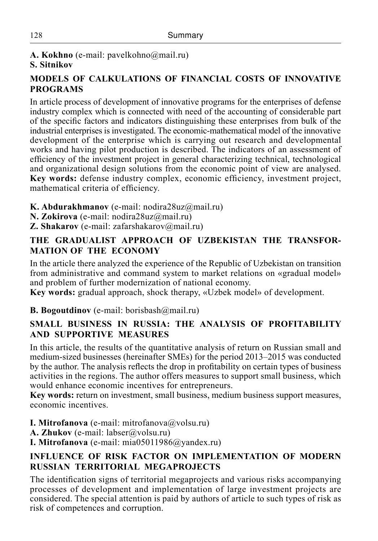**A. Kokhno** (e-mail: pavelkohno@mail.ru) **S. Sitnikov**

## **MODELS OF CALKULATIONS OF FINANCIAL COSTS OF INNOVATIVE PROGRAMS**

In article process of development of innovative programs for the enterprises of defense industry complex which is connected with need of the accounting of considerable part of the specific factors and indicators distinguishing these enterprises from bulk of the industrial enterprises is investigated. The economic-mathematical model of the innovative development of the enterprise which is carrying out research and developmental works and having pilot production is described. The indicators of an assessment of efficiency of the investment project in general characterizing technical, technological and organizational design solutions from the economic point of view are analysed. **Key words:** defense industry complex, economic efficiency, investment project, mathematical criteria of efficiency.

- **K. Abdurakhmanov** (e-mail: nodira28uz@mail.ru)
- **N. Zokirova** (e-mail: nodira28uz@mail.ru)
- **Z. Shakarov** (e-mail: zafarshakarov@mail.ru)

## **THE GRADUALIST APPROACH OF UZBEKISTAN THE TRANSFOR-MATION OF THE ECONOMY**

In the article there analyzed the experience of the Republic of Uzbekistan on transition from administrative and command system to market relations on «gradual model» and problem of further modernization of national economy.

**Key words:** gradual approach, shock therapy, «Uzbek model» of development.

#### **B. Bogoutdinov** (e-mail: borisbash@mail.ru)

## **SMALL BUSINESS IN RUSSIA: THE ANALYSIS OF PROFITABILITY AND SUPPORTIVE MEASURES**

In this article, the results of the quantitative analysis of return on Russian small and medium-sized businesses (hereinafter SMEs) for the period 2013–2015 was conducted by the author. The analysis reflects the drop in profitability on certain types of business activities in the regions. The author offers measures to support small business, which would enhance economic incentives for entrepreneurs.

**Key words:** return on investment, small business, medium business support measures, economic incentives.

**I. Mitrofanova** (e-mail: mitrofanova@volsu.ru)

A. **Zhukov** (e-mail: labser@volsu.ru)

**I. Mitrofanova** (е-mail: mia05011986@yandex.ru)

## **INFLUENCE OF RISK FACTOR ON IMPLEMENTATION OF MODERN RUSSIAN TERRITORIAL MEGAPROJECTS**

The identification signs of territorial megaprojects and various risks accompanying processes of development and implementation of large investment projects are considered. The special attention is paid by authors of article to such types of risk as risk of competences and corruption.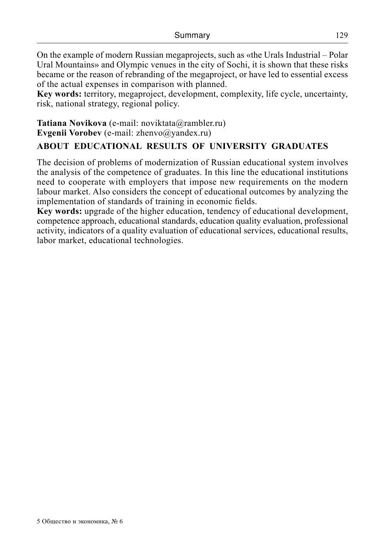On the example of modern Russian megaprojects, such as «the Urals Industrial – Polar Ural Mountains» and Olympic venues in the city of Sochi, it is shown that these risks became or the reason of rebranding of the megaproject, or have led to essential excess of the actual expenses in comparison with planned.

**Key words:** territory, megaproject, development, complexity, life cycle, uncertainty, risk, national strategy, regional policy.

**Tatiana Novikova** (e-mail: noviktata@rambler.ru) **Evgenii Vorobev** (e-mail: zhenvo@yandex.ru)

#### **ABOUT EDUCATIONAL RESULTS OF UNIVERSITY GRADUATES**

The decision of problems of modernization of Russian educational system involves the analysis of the competence of graduates. In this line the educational institutions need to cooperate with employers that impose new requirements on the modern labour market. Also considers the concept of educational outcomes by analyzing the implementation of standards of training in economic fields.

**Key words:** upgrade of the higher education, tendency of educational development, competence approach, educational standards, education quality evaluation, professional activity, indicators of a quality evaluation of educational services, educational results, labor market, educational technologies.